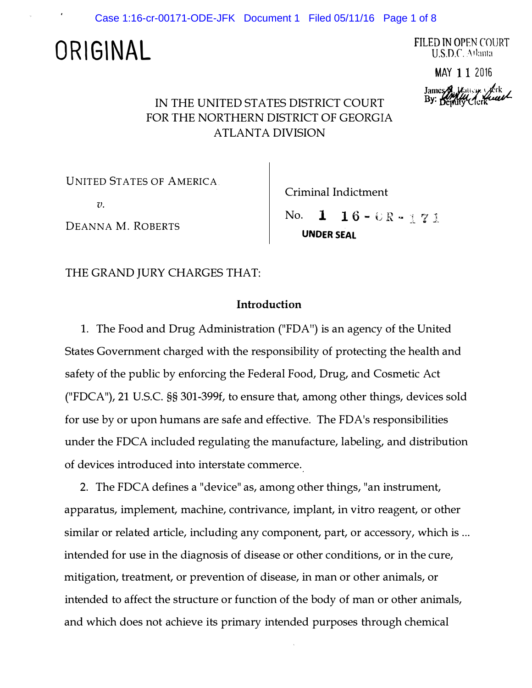Case 1:16-cr-00171-ODE-JFK Document 1 Filed 05/11/16 Page 1 of 8

# **ORIGINAL**

FILED TN OPEN COURT U.S.D.C. Atlanta

MAY 11 2016

James  $\mathcal{Y}_u$  line  $\mathcal{Y}_v$  lik By: Beputy Clerk

## IN THE UNITED STATES DISTRICT COURT FOR THE NORTHERN DISTRICT OF GEORGIA ATLANTA DIVISION

UNITED STATES OF AMERICA

 $v<sub>l</sub>$ 

DEANNA M. ROBERTS

Criminal Indictment

No. **1** UNDER SEAL  $16 - UR - 171$ 

THE GRAND JURY CHARGES THAT:

### Introduction

1. The Food and Drug Administration ("FDA") is an agency of the United States Government charged with the responsibility of protecting the health and safety of the public by enforcing the Federal Food, Drug, and Cosmetic Act ("FDCA"), 21 U.S.C. §§ 301-399f, to ensure that, among other things, devices sold for use by or upon humans are safe and effective. The FD A's responsibilities under the FDCA included regulating the manufacture, labeling, and distribution of devices introduced into interstate commerce.

2. The FDCA defines a "device" as, among other things, "an instrument, apparatus, implement, machine, contrivance, implant, in vitro reagent, or other similar or related article, including any component, part, or accessory, which is ... intended for use in the diagnosis of disease or other conditions, or in the cure, mitigation, treatment, or prevention of disease, in man or other animals, or intended to affect the structure or function of the body of man or other animals, and which does not achieve its primary intended purposes through chemical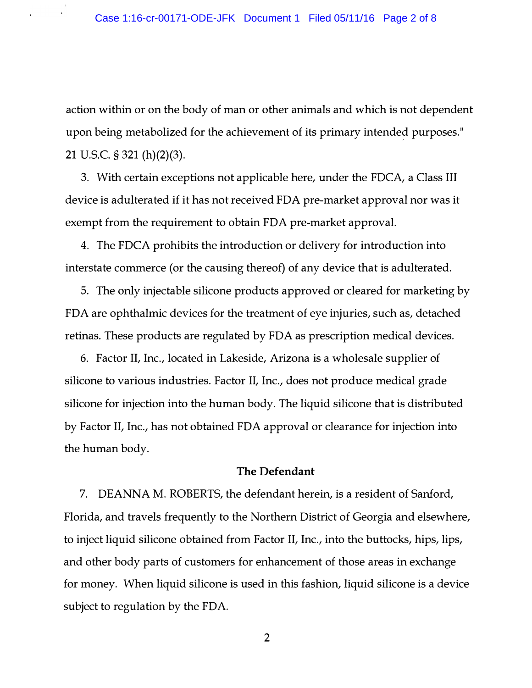action within or on the body of man or other animals and which is not dependent upon being metabolized for the achievement of its primary intended purposes." 21 u.s.c. § 321 (h)(2)(3).

3. With certain exceptions not applicable here, under the FDCA, a Class III device is adulterated if it has not received FDA pre-market approval nor was it exempt from the requirement to obtain FDA pre-market approval.

4. The FDCA prohibits the introduction or delivery for introduction into interstate commerce (or the causing thereof) of any device that is adulterated.

5. The only injectable silicone products approved or cleared for marketing by FDA are ophthalmic devices for the treatment of eye injuries, such as, detached retinas. These products are regulated by FDA as prescription medical devices.

6. Factor II, Inc., located in Lakeside, Arizona is a wholesale supplier of silicone to various industries. Factor II, Inc., does not produce medical grade silicone for injection into the human body. The liquid silicone that is distributed by Factor II, Inc., has not obtained FDA approval or clearance for injection into the human body.

#### The Defendant

7. DEANNA M. ROBERTS, the defendant herein, is a resident of Sanford, Florida, and travels frequently to the Northern District of Georgia and elsewhere, to inject liquid silicone obtained from Factor II, Inc., into the buttocks, hips, lips, and other body parts of customers for enhancement of those areas in exchange for money. When liquid silicone is used in this fashion, liquid silicone is a device subject to regulation by the FDA.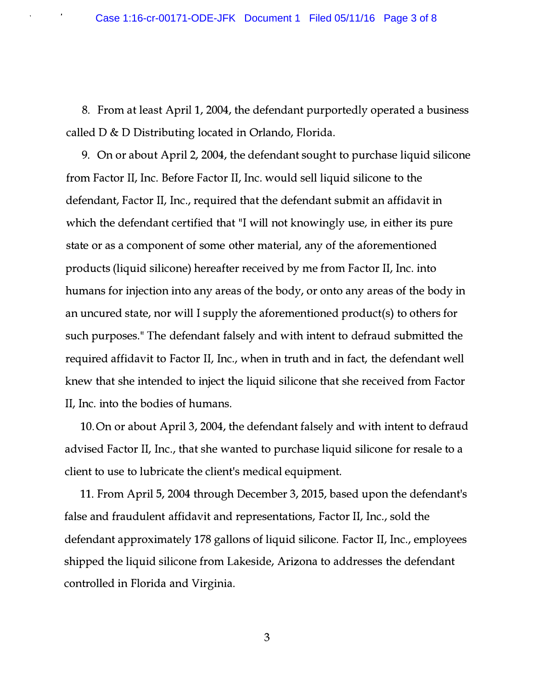8. From at least April 1, 2004, the defendant purportedly operated a business called D & D Distributing located in Orlando, Florida.

9. On or about April 2, 2004, the defendant sought to purchase liquid silicone from Factor II, Inc. Before Factor II, Inc. would sell liquid silicone to the defendant, Factor II, Inc., required that the defendant submit an affidavit in which the defendant certified that "I will not knowingly use, in either its pure state or as a component of some other material, any of the aforementioned products (liquid silicone) hereafter received by me from Factor II, Inc. into humans for injection into any areas of the body, or onto any areas of the body in an uncured state, nor will I supply the aforementioned product(s) to others for such purposes." The defendant falsely and with intent to defraud submitted the required affidavit to Factor II, Inc., when in truth and in fact, the defendant well knew that she intended to inject the liquid silicone that she received from Factor II, Inc. into the bodies of humans.

10. On or about April 3, 2004, the defendant falsely and with intent to defraud advised Factor II, Inc., that she wanted to purchase liquid silicone for resale to a client to use to lubricate the client's medical equipment.

11. From April 5, 2004 through December 3, 2015, based upon the defendant's false and fraudulent affidavit and representations, Factor II, Inc., sold the defendant approximately 178 gallons of liquid silicone. Factor II, Inc., employees shipped the liquid silicone from Lakeside, Arizona to addresses the defendant controlled in Florida and Virginia.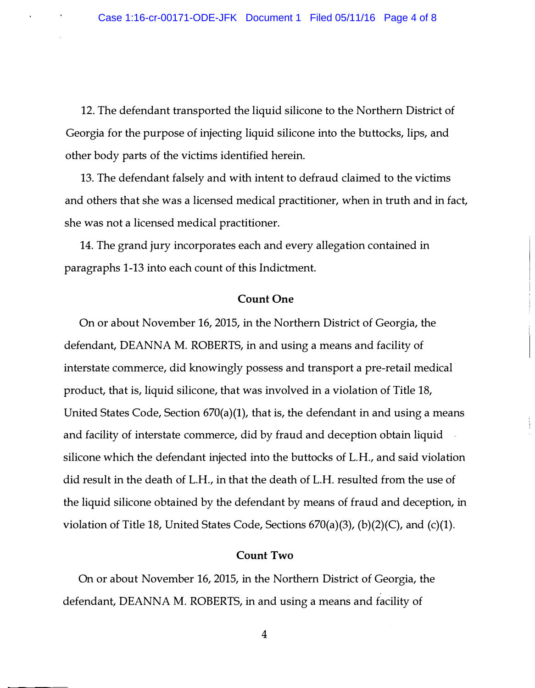12. The defendant transported the liquid silicone to the Northern District of Georgia for the purpose of injecting liquid silicone into the buttocks, lips, and other body parts of the victims identified herein.

13. The defendant falsely and with intent to defraud claimed to the victims and others that she was a licensed medical practitioner, when in truth and in fact, she was not a licensed medical practitioner.

14. The grand jury incorporates each and every allegation contained in paragraphs 1-13 into each count of this Indictment.

#### Count One

On or about November 16, 2015, in the Northern District of Georgia, the defendant, DEANNA M. ROBERTS, in and using a means and facility of interstate commerce, did knowingly possess and transport a pre-retail medical product, that is, liquid silicone, that was involved in a violation of Title 18, United States Code, Section 670(a)(1), that is, the defendant in and using a means and facility of interstate commerce, did by fraud and deception obtain liquid silicone which the defendant injected into the buttocks of L.H., and said violation did result in the death of L.H., in that the death of L.H. resulted from the use of the liquid silicone obtained by the defendant by means of fraud and deception, in violation of Title 18, United States Code, Sections  $670(a)(3)$ ,  $(b)(2)(C)$ , and  $(c)(1)$ .

#### Count Two

On or about November 16, 2015, in the Northern District of Georgia, the defendant, DEANNA M. ROBERTS, in and using a means and facility of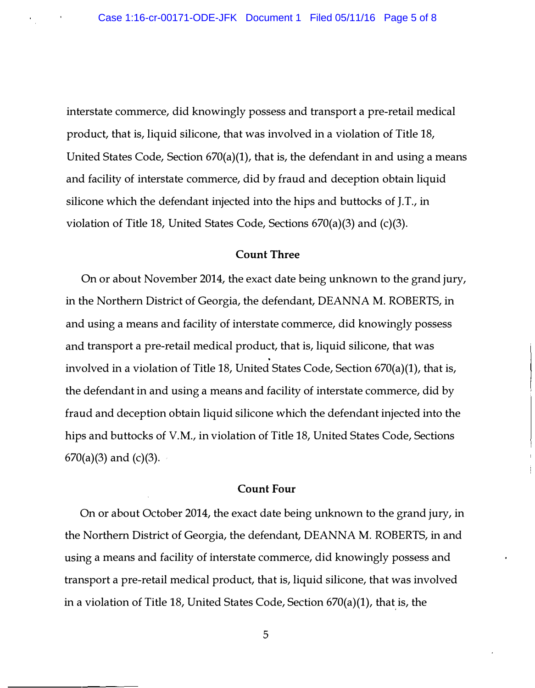interstate commerce, did knowingly possess and transport a pre-retail medical product, that is, liquid silicone, that was involved in a violation of Title 18, United States Code, Section 670(a)(1), that is, the defendant in and using a means and facility of interstate commerce, did by fraud and deception obtain liquid silicone which the defendant injected into the hips and buttocks of J.T., in violation of Title 18, United States Code, Sections 670(a)(3) and (c)(3).

#### Count Three

On or about November 2014, the exact date being unknown to the grand jury, in the Northern District of Georgia, the defendant, DEANNA M. ROBERTS, in and using a means and facility of interstate commerce, did knowingly possess and transport a pre-retail medical product, that is, liquid silicone, that was involved in a violation of Title 18, United States Code, Section 670(a)(1), that is, the defendant in and using a means and facility of interstate commerce, did by fraud and deception obtain liquid silicone which the defendant injected into the hips and buttocks of V.M., in violation of Title 18, United States Code, Sections  $670(a)(3)$  and  $(c)(3)$ .

#### Count Four

On or about October 2014, the exact date being unknown to the grand jury, in the Northern District of Georgia, the defendant, DEANNA M. ROBERTS, in and using a means and facility of interstate commerce, did knowingly possess and transport a pre-retail medical product, that is, liquid silicone, that was involved in a violation of Title 18, United States Code, Section 670(a)(1), that is, the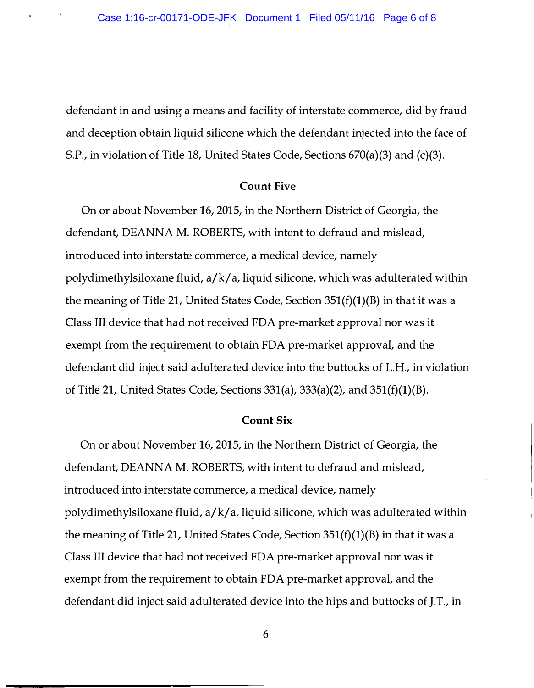$\sim 10^{11}$  km  $^{-1}$  .

defendant in and using a means and facility of interstate commerce, did by fraud and deception obtain liquid silicone which the defendant injected into the face of S.P., in violation of Title 18, United States Code, Sections 670(a)(3) and (c)(3).

#### Count Five

On or about November 16, 2015, in the Northern District of Georgia, the defendant, DEANNA M. ROBERTS, with intent to defraud and mislead, introduced into interstate commerce, a medical device, namely polydimethylsiloxane fluid, a/k/ a, liquid silicone, which was adulterated within the meaning of Title 21, United States Code, Section  $351(f)(1)(B)$  in that it was a Class III device that had not received FDA pre-market approval nor was it exempt from the requirement to obtain FDA pre-market approval, and the defendant did inject said adulterated device into the buttocks of L.H., in violation of Title 21, United States Code, Sections  $331(a)$ ,  $333(a)(2)$ , and  $351(f)(1)(B)$ .

#### Count Six

On or about November 16, 2015, in the Northern District of Georgia, the defendant, DEANNA M. ROBERTS, with intent to defraud and mislead, introduced into interstate commerce, a medical device, namely polydimethylsiloxane fluid, a/k/ a, liquid silicone, which was adulterated within the meaning of Title 21, United States Code, Section  $351(f)(1)(B)$  in that it was a Class III device that had not received FDA pre-market approval nor was it exempt from the requirement to obtain FDA pre-market approval, and the defendant did inject said adulterated device into the hips and buttocks of ].T., in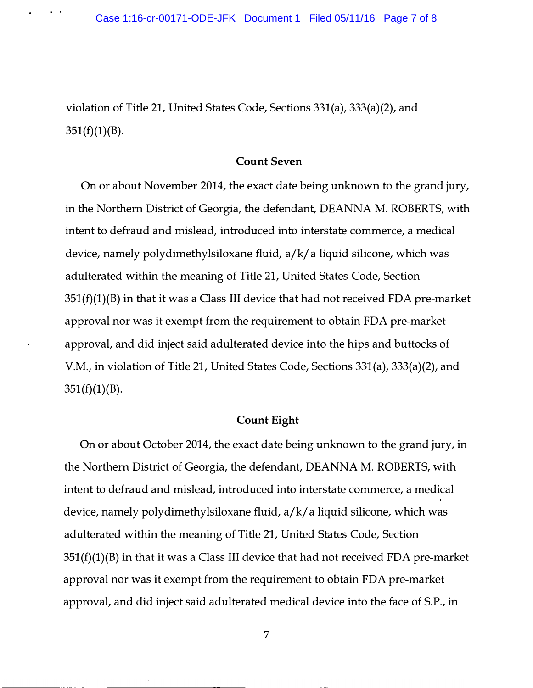violation of Title 21, United States Code, Sections 331(a), 333(a)(2), and  $351(f)(1)(B)$ .

#### Count Seven

On or about November 2014, the exact date being unknown to the grand jury, in the Northern District of Georgia, the defendant, DEANNA M. ROBERTS, with intent to defraud and mislead, introduced into interstate commerce, a medical device, namely polydimethylsiloxane fluid, a/k/ a liquid silicone, which was adulterated within the meaning of Title 21, United States Code, Section  $351(f)(1)(B)$  in that it was a Class III device that had not received FDA pre-market approval nor was it exempt from the requirement to obtain FDA pre-market approval, and did inject said adulterated device into the hips and buttocks of V.M., in violation of Title 21, United States Code, Sections 331(a), 333(a)(2), and  $351(f)(1)(B)$ .

#### Count Eight

On or about October 2014, the exact date being unknown to the grand jury, in the Northern District of Georgia, the defendant, DEANNA M. ROBERTS, with intent to defraud and mislead, introduced into interstate commerce, a medical device, namely polydimethylsiloxane fluid, a/k/ a liquid silicone, which was adulterated within the meaning of Title 21, United States Code, Section  $351(f)(1)(B)$  in that it was a Class III device that had not received FDA pre-market approval nor was it exempt from the requirement to obtain FDA pre-market approval, and did inject said adulterated medical device into the face of S.P., in